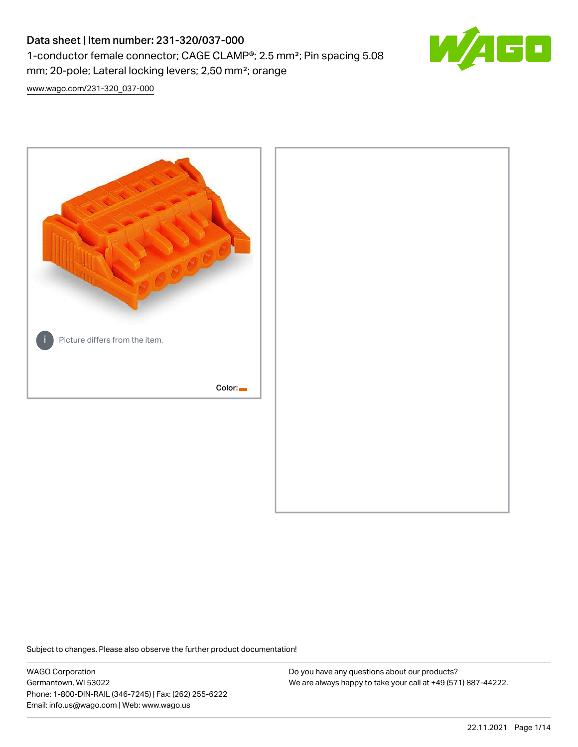# Data sheet | Item number: 231-320/037-000 1-conductor female connector; CAGE CLAMP®; 2.5 mm²; Pin spacing 5.08 mm; 20-pole; Lateral locking levers; 2,50 mm²; orange



[www.wago.com/231-320\\_037-000](http://www.wago.com/231-320_037-000)



Subject to changes. Please also observe the further product documentation!

WAGO Corporation Germantown, WI 53022 Phone: 1-800-DIN-RAIL (346-7245) | Fax: (262) 255-6222 Email: info.us@wago.com | Web: www.wago.us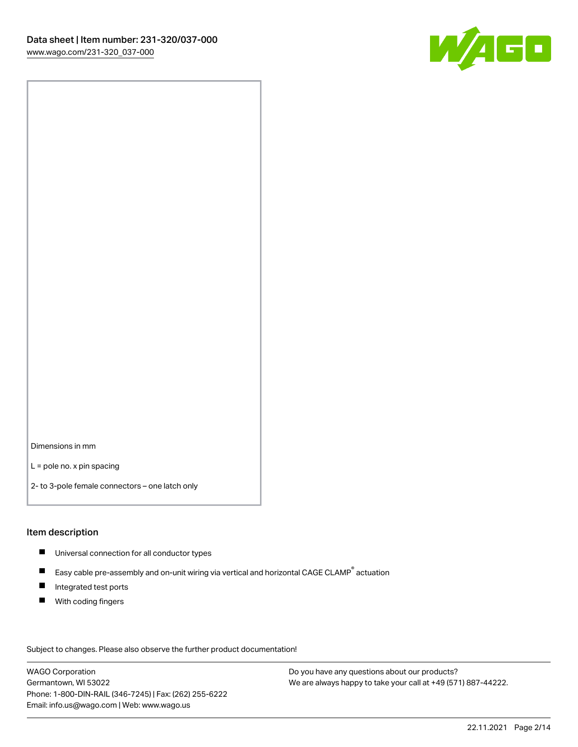

Dimensions in mm

L = pole no. x pin spacing

2- to 3-pole female connectors – one latch only

#### Item description

- **Universal connection for all conductor types**
- Easy cable pre-assembly and on-unit wiring via vertical and horizontal CAGE CLAMP<sup>®</sup> actuation  $\blacksquare$
- $\blacksquare$ Integrated test ports
- $\blacksquare$ With coding fingers

Subject to changes. Please also observe the further product documentation! Data

WAGO Corporation Germantown, WI 53022 Phone: 1-800-DIN-RAIL (346-7245) | Fax: (262) 255-6222 Email: info.us@wago.com | Web: www.wago.us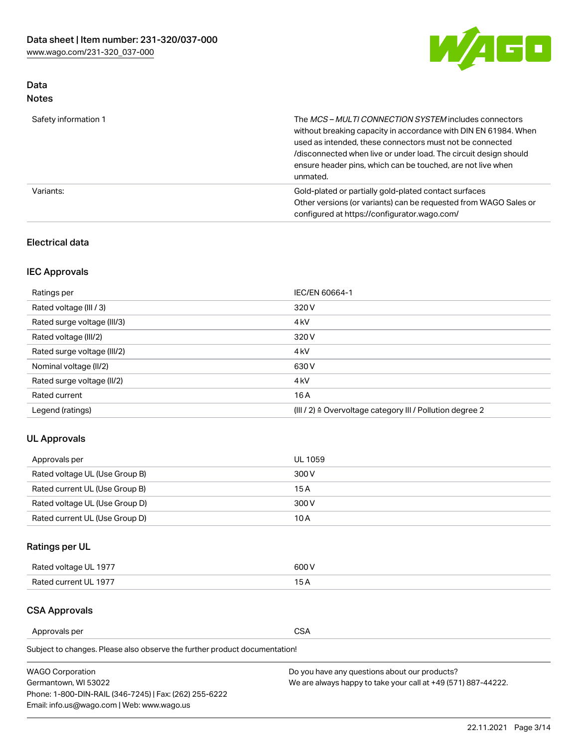

## Data Notes

| Safety information 1 | The <i>MCS – MULTI CONNECTION SYSTEM</i> includes connectors<br>without breaking capacity in accordance with DIN EN 61984. When<br>used as intended, these connectors must not be connected<br>/disconnected when live or under load. The circuit design should<br>ensure header pins, which can be touched, are not live when<br>unmated. |
|----------------------|--------------------------------------------------------------------------------------------------------------------------------------------------------------------------------------------------------------------------------------------------------------------------------------------------------------------------------------------|
| Variants:            | Gold-plated or partially gold-plated contact surfaces<br>Other versions (or variants) can be requested from WAGO Sales or<br>configured at https://configurator.wago.com/                                                                                                                                                                  |

#### Electrical data

## IEC Approvals

| Ratings per                 | IEC/EN 60664-1                                                        |
|-----------------------------|-----------------------------------------------------------------------|
| Rated voltage (III / 3)     | 320 V                                                                 |
| Rated surge voltage (III/3) | 4 <sub>k</sub> V                                                      |
| Rated voltage (III/2)       | 320 V                                                                 |
| Rated surge voltage (III/2) | 4 <sub>k</sub> V                                                      |
| Nominal voltage (II/2)      | 630 V                                                                 |
| Rated surge voltage (II/2)  | 4 <sub>k</sub> V                                                      |
| Rated current               | 16 A                                                                  |
| Legend (ratings)            | $(III / 2)$ $\triangle$ Overvoltage category III / Pollution degree 2 |

### UL Approvals

| Approvals per                  | UL 1059 |
|--------------------------------|---------|
| Rated voltage UL (Use Group B) | 300 V   |
| Rated current UL (Use Group B) | 15 A    |
| Rated voltage UL (Use Group D) | 300 V   |
| Rated current UL (Use Group D) | 10 A    |

## Ratings per UL

| Rated voltage UL 1977 | 300 V |
|-----------------------|-------|
| Rated current UL 1977 |       |

#### CSA Approvals

Approvals per CSA

Subject to changes. Please also observe the further product documentation!

| <b>WAGO Corporation</b>                                | Do you have any questions about our products?                 |
|--------------------------------------------------------|---------------------------------------------------------------|
| Germantown, WI 53022                                   | We are always happy to take your call at +49 (571) 887-44222. |
| Phone: 1-800-DIN-RAIL (346-7245)   Fax: (262) 255-6222 |                                                               |
| Email: info.us@wago.com   Web: www.wago.us             |                                                               |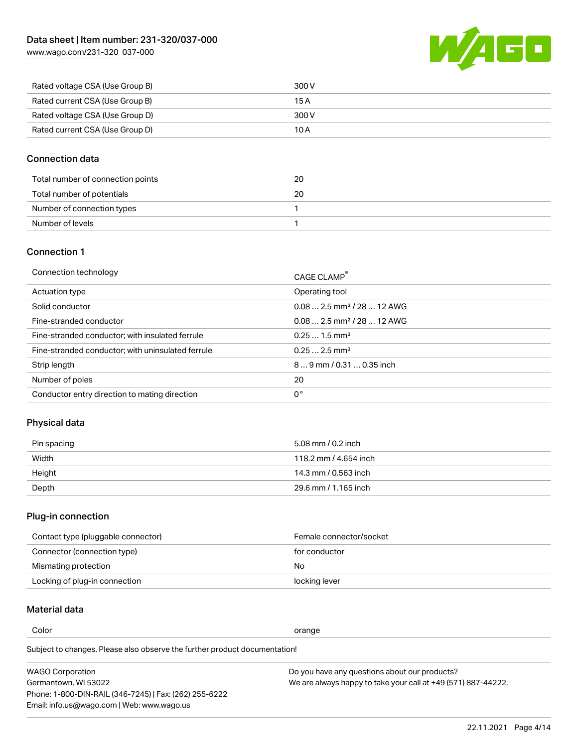[www.wago.com/231-320\\_037-000](http://www.wago.com/231-320_037-000)



| Rated voltage CSA (Use Group B) | 300 V |
|---------------------------------|-------|
| Rated current CSA (Use Group B) | 15 A  |
| Rated voltage CSA (Use Group D) | 300 V |
| Rated current CSA (Use Group D) | 10 A  |

#### Connection data

| Total number of connection points | 20 |
|-----------------------------------|----|
| Total number of potentials        | 20 |
| Number of connection types        |    |
| Number of levels                  |    |

#### Connection 1

| Connection technology                             | CAGE CLAMP®                             |
|---------------------------------------------------|-----------------------------------------|
| Actuation type                                    | Operating tool                          |
| Solid conductor                                   | $0.082.5$ mm <sup>2</sup> / 28  12 AWG  |
| Fine-stranded conductor                           | $0.08$ 2.5 mm <sup>2</sup> / 28  12 AWG |
| Fine-stranded conductor; with insulated ferrule   | $0.251.5$ mm <sup>2</sup>               |
| Fine-stranded conductor; with uninsulated ferrule | $0.252.5$ mm <sup>2</sup>               |
| Strip length                                      | $89$ mm $/ 0.310.35$ inch               |
| Number of poles                                   | 20                                      |
| Conductor entry direction to mating direction     | 0°                                      |

### Physical data

| Pin spacing | 5.08 mm / 0.2 inch    |
|-------------|-----------------------|
| Width       | 118.2 mm / 4.654 inch |
| Height      | 14.3 mm / 0.563 inch  |
| Depth       | 29.6 mm / 1.165 inch  |

## Plug-in connection

| Contact type (pluggable connector) | Female connector/socket |
|------------------------------------|-------------------------|
| Connector (connection type)        | for conductor           |
| Mismating protection               | No                      |
| Locking of plug-in connection      | locking lever           |

## Material data

Color contracts and contracts of the contracts of the contracts of the contracts of the contracts of the contracts of the contracts of the contracts of the contracts of the contracts of the contracts of the contracts of th

Subject to changes. Please also observe the further product documentation! Material group I

| <b>WAGO Corporation</b>                                | Do you have any questions about our products?                 |
|--------------------------------------------------------|---------------------------------------------------------------|
| Germantown, WI 53022                                   | We are always happy to take your call at +49 (571) 887-44222. |
| Phone: 1-800-DIN-RAIL (346-7245)   Fax: (262) 255-6222 |                                                               |
| Email: info.us@wago.com   Web: www.wago.us             |                                                               |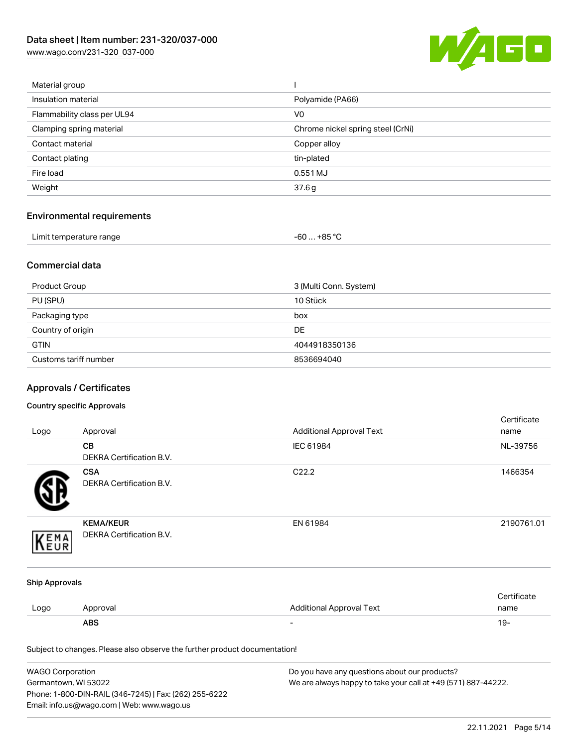[www.wago.com/231-320\\_037-000](http://www.wago.com/231-320_037-000)



| Material group              |                                   |
|-----------------------------|-----------------------------------|
| Insulation material         | Polyamide (PA66)                  |
| Flammability class per UL94 | V <sub>0</sub>                    |
| Clamping spring material    | Chrome nickel spring steel (CrNi) |
| Contact material            | Copper alloy                      |
| Contact plating             | tin-plated                        |
| Fire load                   | 0.551 MJ                          |
| Weight                      | 37.6g                             |
|                             |                                   |

## Environmental requirements

| Limit temperature range<br>. | . +85 °C<br>-60… |  |
|------------------------------|------------------|--|
|------------------------------|------------------|--|

#### Commercial data

| Product Group         | 3 (Multi Conn. System) |
|-----------------------|------------------------|
| PU (SPU)              | 10 Stück               |
| Packaging type        | box                    |
| Country of origin     | <b>DE</b>              |
| <b>GTIN</b>           | 4044918350136          |
| Customs tariff number | 8536694040             |

## Approvals / Certificates

#### Country specific Approvals

|                       |                                                                            |                                 | Certificate |
|-----------------------|----------------------------------------------------------------------------|---------------------------------|-------------|
| Logo                  | Approval                                                                   | <b>Additional Approval Text</b> | name        |
|                       | CB                                                                         | IEC 61984                       | NL-39756    |
|                       | DEKRA Certification B.V.                                                   |                                 |             |
|                       | <b>CSA</b>                                                                 | C22.2                           | 1466354     |
|                       | <b>DEKRA Certification B.V.</b>                                            |                                 |             |
|                       | <b>KEMA/KEUR</b>                                                           | EN 61984                        | 2190761.01  |
| EMA                   | DEKRA Certification B.V.                                                   |                                 |             |
| <b>Ship Approvals</b> |                                                                            |                                 |             |
|                       |                                                                            |                                 | Certificate |
| Logo                  | Approval                                                                   | <b>Additional Approval Text</b> | name        |
|                       | <b>ABS</b>                                                                 |                                 | $19 -$      |
|                       | Subject to changes. Please also observe the further product documentation! |                                 |             |

| <b>WAGO Corporation</b>                                | Do you have any questions about our products?                 |
|--------------------------------------------------------|---------------------------------------------------------------|
| Germantown, WI 53022                                   | We are always happy to take your call at +49 (571) 887-44222. |
| Phone: 1-800-DIN-RAIL (346-7245)   Fax: (262) 255-6222 |                                                               |
| Email: info.us@wago.com   Web: www.wago.us             |                                                               |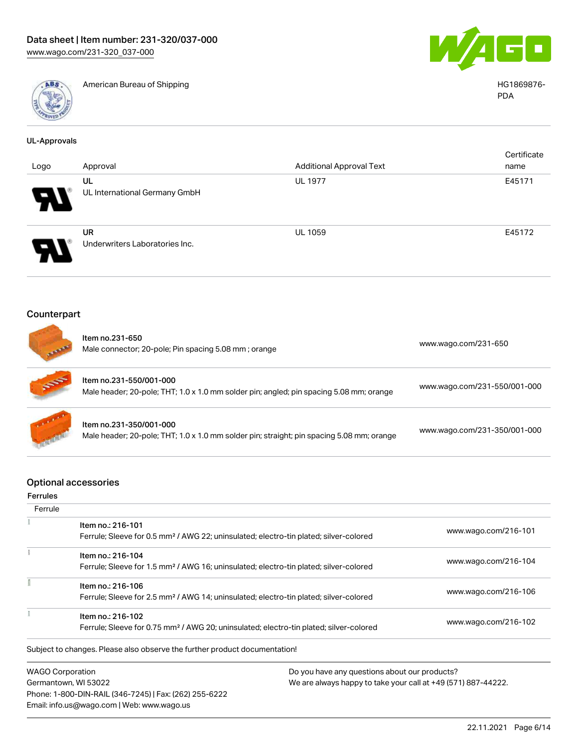

American Bureau of Shipping HG1869876-



PDA

| <b>UL-Approvals</b> |                                                                                                                         |                                 |                              |
|---------------------|-------------------------------------------------------------------------------------------------------------------------|---------------------------------|------------------------------|
| Logo                | Approval                                                                                                                | <b>Additional Approval Text</b> | Certificate<br>name          |
|                     | UL<br>UL International Germany GmbH                                                                                     | <b>UL 1977</b>                  | E45171                       |
|                     | <b>UR</b><br>Underwriters Laboratories Inc.                                                                             | UL 1059                         | E45172                       |
| Counterpart         |                                                                                                                         |                                 |                              |
|                     | Item no.231-650<br>Male connector; 20-pole; Pin spacing 5.08 mm; orange                                                 |                                 | www.wago.com/231-650         |
|                     | Item no.231-550/001-000<br>Male header; 20-pole; THT; 1.0 x 1.0 mm solder pin; angled; pin spacing 5.08 mm; orange      |                                 | www.wago.com/231-550/001-000 |
|                     | Item no.231-350/001-000<br>Male header; 20-pole; THT; 1.0 x 1.0 mm solder pin; straight; pin spacing 5.08 mm; orange    |                                 | www.wago.com/231-350/001-000 |
| Ferrules            | <b>Optional accessories</b>                                                                                             |                                 |                              |
| Ferrule             | Item no.: 216-101                                                                                                       |                                 |                              |
|                     | Ferrule; Sleeve for 0.5 mm <sup>2</sup> / AWG 22; uninsulated; electro-tin plated; silver-colored                       |                                 | www.wago.com/216-101         |
| Ť.                  | Item no.: 216-104<br>Ferrule; Sleeve for 1.5 mm <sup>2</sup> / AWG 16; uninsulated; electro-tin plated; silver-colored  |                                 | www.wago.com/216-104         |
| Ī                   | Item no.: 216-106<br>Ferrule; Sleeve for 2.5 mm <sup>2</sup> / AWG 14; uninsulated; electro-tin plated; silver-colored  |                                 | www.wago.com/216-106         |
|                     | Item no.: 216-102<br>Ferrule; Sleeve for 0.75 mm <sup>2</sup> / AWG 20; uninsulated; electro-tin plated; silver-colored |                                 | www.wago.com/216-102         |
|                     | Subject to changes. Please also observe the further product documentation!                                              |                                 |                              |
|                     |                                                                                                                         |                                 |                              |

WAGO Corporation Germantown, WI 53022 Phone: 1-800-DIN-RAIL (346-7245) | Fax: (262) 255-6222 Email: info.us@wago.com | Web: www.wago.us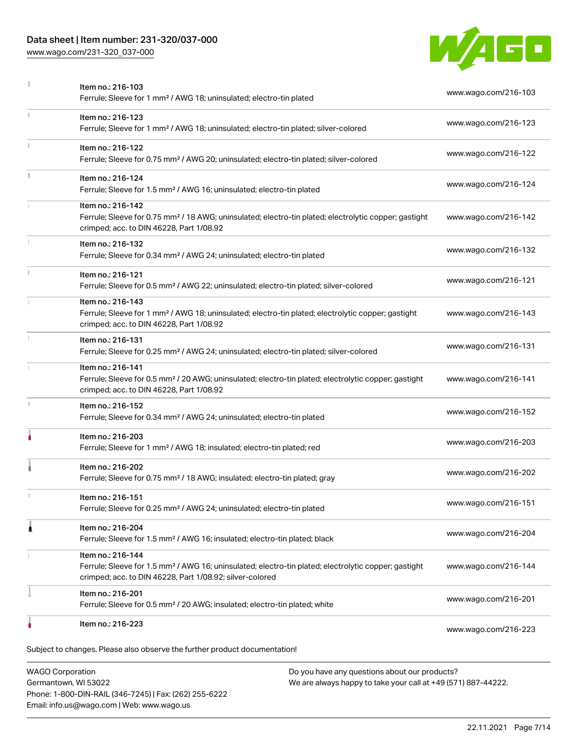### Data sheet | Item number: 231-320/037-000

Phone: 1-800-DIN-RAIL (346-7245) | Fax: (262) 255-6222

Email: info.us@wago.com | Web: www.wago.us

[www.wago.com/231-320\\_037-000](http://www.wago.com/231-320_037-000)



|    | Item no.: 216-103<br>Ferrule; Sleeve for 1 mm <sup>2</sup> / AWG 18; uninsulated; electro-tin plated                                                                                              | www.wago.com/216-103 |
|----|---------------------------------------------------------------------------------------------------------------------------------------------------------------------------------------------------|----------------------|
| î. | Item no.: 216-123<br>Ferrule; Sleeve for 1 mm <sup>2</sup> / AWG 18; uninsulated; electro-tin plated; silver-colored                                                                              | www.wago.com/216-123 |
|    | Item no.: 216-122<br>Ferrule; Sleeve for 0.75 mm <sup>2</sup> / AWG 20; uninsulated; electro-tin plated; silver-colored                                                                           | www.wago.com/216-122 |
|    | Item no.: 216-124<br>Ferrule; Sleeve for 1.5 mm <sup>2</sup> / AWG 16; uninsulated; electro-tin plated                                                                                            | www.wago.com/216-124 |
|    | Item no.: 216-142<br>Ferrule; Sleeve for 0.75 mm <sup>2</sup> / 18 AWG; uninsulated; electro-tin plated; electrolytic copper; gastight<br>crimped; acc. to DIN 46228, Part 1/08.92                | www.wago.com/216-142 |
|    | Item no.: 216-132<br>Ferrule; Sleeve for 0.34 mm <sup>2</sup> / AWG 24; uninsulated; electro-tin plated                                                                                           | www.wago.com/216-132 |
|    | Item no.: 216-121<br>Ferrule; Sleeve for 0.5 mm <sup>2</sup> / AWG 22; uninsulated; electro-tin plated; silver-colored                                                                            | www.wago.com/216-121 |
|    | Item no.: 216-143<br>Ferrule; Sleeve for 1 mm <sup>2</sup> / AWG 18; uninsulated; electro-tin plated; electrolytic copper; gastight<br>crimped; acc. to DIN 46228, Part 1/08.92                   | www.wago.com/216-143 |
|    | Item no.: 216-131<br>Ferrule; Sleeve for 0.25 mm <sup>2</sup> / AWG 24; uninsulated; electro-tin plated; silver-colored                                                                           | www.wago.com/216-131 |
|    | Item no.: 216-141<br>Ferrule; Sleeve for 0.5 mm <sup>2</sup> / 20 AWG; uninsulated; electro-tin plated; electrolytic copper; gastight<br>crimped; acc. to DIN 46228, Part 1/08.92                 | www.wago.com/216-141 |
|    | Item no.: 216-152<br>Ferrule; Sleeve for 0.34 mm <sup>2</sup> / AWG 24; uninsulated; electro-tin plated                                                                                           | www.wago.com/216-152 |
|    | Item no.: 216-203<br>Ferrule; Sleeve for 1 mm <sup>2</sup> / AWG 18; insulated; electro-tin plated; red                                                                                           | www.wago.com/216-203 |
|    | Item no.: 216-202<br>Ferrule; Sleeve for 0.75 mm <sup>2</sup> / 18 AWG; insulated; electro-tin plated; gray                                                                                       | www.wago.com/216-202 |
|    | Item no.: 216-151<br>Ferrule; Sleeve for 0.25 mm <sup>2</sup> / AWG 24; uninsulated; electro-tin plated                                                                                           | www.wago.com/216-151 |
|    | Item no.: 216-204<br>Ferrule; Sleeve for 1.5 mm <sup>2</sup> / AWG 16; insulated; electro-tin plated; black                                                                                       | www.wago.com/216-204 |
|    | Item no.: 216-144<br>Ferrule; Sleeve for 1.5 mm <sup>2</sup> / AWG 16; uninsulated; electro-tin plated; electrolytic copper; gastight<br>crimped; acc. to DIN 46228, Part 1/08.92; silver-colored | www.wago.com/216-144 |
|    | Item no.: 216-201<br>Ferrule; Sleeve for 0.5 mm <sup>2</sup> / 20 AWG; insulated; electro-tin plated; white                                                                                       | www.wago.com/216-201 |
|    | Item no.: 216-223                                                                                                                                                                                 | www.wago.com/216-223 |
|    | Subject to changes. Please also observe the further product documentation!                                                                                                                        |                      |
|    | <b>WAGO Corporation</b><br>Do you have any questions about our products?<br>Germantown, WI 53022<br>We are always happy to take your call at +49 (571) 887-44222.                                 |                      |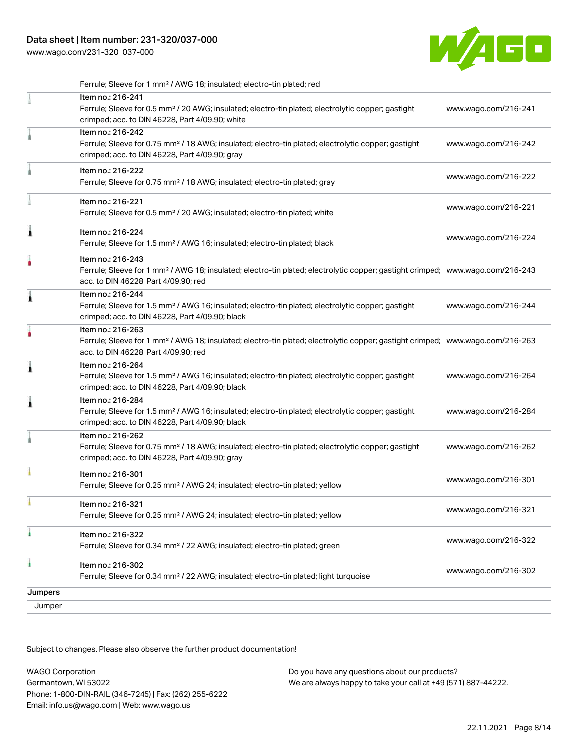[www.wago.com/231-320\\_037-000](http://www.wago.com/231-320_037-000)



|         | Ferrule; Sleeve for 1 mm <sup>2</sup> / AWG 18; insulated; electro-tin plated; red                                                                                                                      |                      |
|---------|---------------------------------------------------------------------------------------------------------------------------------------------------------------------------------------------------------|----------------------|
|         | Item no.: 216-241<br>Ferrule; Sleeve for 0.5 mm <sup>2</sup> / 20 AWG; insulated; electro-tin plated; electrolytic copper; gastight<br>crimped; acc. to DIN 46228, Part 4/09.90; white                  | www.wago.com/216-241 |
|         | Item no.: 216-242<br>Ferrule; Sleeve for 0.75 mm <sup>2</sup> / 18 AWG; insulated; electro-tin plated; electrolytic copper; gastight<br>crimped; acc. to DIN 46228, Part 4/09.90; gray                  | www.wago.com/216-242 |
|         | Item no.: 216-222<br>Ferrule; Sleeve for 0.75 mm <sup>2</sup> / 18 AWG; insulated; electro-tin plated; gray                                                                                             | www.wago.com/216-222 |
|         | Item no.: 216-221<br>Ferrule; Sleeve for 0.5 mm <sup>2</sup> / 20 AWG; insulated; electro-tin plated; white                                                                                             | www.wago.com/216-221 |
| Ă       | Item no.: 216-224<br>Ferrule; Sleeve for 1.5 mm <sup>2</sup> / AWG 16; insulated; electro-tin plated; black                                                                                             | www.wago.com/216-224 |
|         | Item no.: 216-243<br>Ferrule; Sleeve for 1 mm <sup>2</sup> / AWG 18; insulated; electro-tin plated; electrolytic copper; gastight crimped; www.wago.com/216-243<br>acc. to DIN 46228, Part 4/09.90; red |                      |
| Â       | Item no.: 216-244<br>Ferrule; Sleeve for 1.5 mm <sup>2</sup> / AWG 16; insulated; electro-tin plated; electrolytic copper; gastight<br>crimped; acc. to DIN 46228, Part 4/09.90; black                  | www.wago.com/216-244 |
|         | Item no.: 216-263<br>Ferrule; Sleeve for 1 mm <sup>2</sup> / AWG 18; insulated; electro-tin plated; electrolytic copper; gastight crimped; www.wago.com/216-263<br>acc. to DIN 46228, Part 4/09.90; red |                      |
| Â       | Item no.: 216-264<br>Ferrule; Sleeve for 1.5 mm <sup>2</sup> / AWG 16; insulated; electro-tin plated; electrolytic copper; gastight<br>crimped; acc. to DIN 46228, Part 4/09.90; black                  | www.wago.com/216-264 |
| ٨       | Item no.: 216-284<br>Ferrule; Sleeve for 1.5 mm <sup>2</sup> / AWG 16; insulated; electro-tin plated; electrolytic copper; gastight<br>crimped; acc. to DIN 46228, Part 4/09.90; black                  | www.wago.com/216-284 |
|         | Item no.: 216-262<br>Ferrule; Sleeve for 0.75 mm <sup>2</sup> / 18 AWG; insulated; electro-tin plated; electrolytic copper; gastight<br>crimped; acc. to DIN 46228, Part 4/09.90; gray                  | www.wago.com/216-262 |
|         | Item no.: 216-301<br>Ferrule; Sleeve for 0.25 mm <sup>2</sup> / AWG 24; insulated; electro-tin plated; yellow                                                                                           | www.wago.com/216-301 |
|         | Item no.: 216-321<br>Ferrule; Sleeve for 0.25 mm <sup>2</sup> / AWG 24; insulated; electro-tin plated; yellow                                                                                           | www.wago.com/216-321 |
| ı       | Item no.: 216-322<br>Ferrule; Sleeve for 0.34 mm <sup>2</sup> / 22 AWG; insulated; electro-tin plated; green                                                                                            | www.wago.com/216-322 |
| ۸       | Item no.: 216-302<br>Ferrule; Sleeve for 0.34 mm <sup>2</sup> / 22 AWG; insulated; electro-tin plated; light turquoise                                                                                  | www.wago.com/216-302 |
| Jumpers |                                                                                                                                                                                                         |                      |
| Jumper  |                                                                                                                                                                                                         |                      |

Subject to changes. Please also observe the further product documentation!

| <b>WAGO Corporation</b>                                | Do you have any questions about our products?                 |
|--------------------------------------------------------|---------------------------------------------------------------|
| Germantown, WI 53022                                   | We are always happy to take your call at +49 (571) 887-44222. |
| Phone: 1-800-DIN-RAIL (346-7245)   Fax: (262) 255-6222 |                                                               |
| Email: info.us@wago.com   Web: www.wago.us             |                                                               |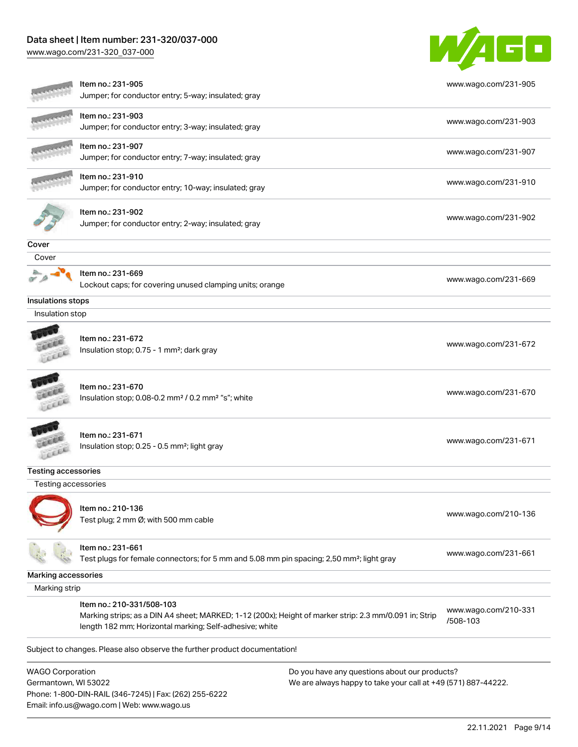### Data sheet | Item number: 231-320/037-000

Phone: 1-800-DIN-RAIL (346-7245) | Fax: (262) 255-6222

Email: info.us@wago.com | Web: www.wago.us

[www.wago.com/231-320\\_037-000](http://www.wago.com/231-320_037-000)



|                            | Item no.: 231-905                                                                                                                                                 |                                                               | www.wago.com/231-905 |
|----------------------------|-------------------------------------------------------------------------------------------------------------------------------------------------------------------|---------------------------------------------------------------|----------------------|
|                            | Jumper; for conductor entry; 5-way; insulated; gray                                                                                                               |                                                               |                      |
|                            | Item no.: 231-903<br>Jumper; for conductor entry; 3-way; insulated; gray                                                                                          |                                                               | www.wago.com/231-903 |
|                            |                                                                                                                                                                   |                                                               |                      |
|                            | Item no.: 231-907                                                                                                                                                 |                                                               | www.wago.com/231-907 |
|                            | Jumper; for conductor entry; 7-way; insulated; gray                                                                                                               |                                                               |                      |
|                            | Item no.: 231-910                                                                                                                                                 |                                                               | www.wago.com/231-910 |
|                            | Jumper; for conductor entry; 10-way; insulated; gray                                                                                                              |                                                               |                      |
|                            | Item no.: 231-902                                                                                                                                                 |                                                               |                      |
|                            | Jumper; for conductor entry; 2-way; insulated; gray                                                                                                               |                                                               | www.wago.com/231-902 |
| Cover                      |                                                                                                                                                                   |                                                               |                      |
| Cover                      |                                                                                                                                                                   |                                                               |                      |
|                            | Item no.: 231-669                                                                                                                                                 |                                                               |                      |
|                            | Lockout caps; for covering unused clamping units; orange                                                                                                          |                                                               | www.wago.com/231-669 |
| Insulations stops          |                                                                                                                                                                   |                                                               |                      |
| Insulation stop            |                                                                                                                                                                   |                                                               |                      |
|                            | Item no.: 231-672                                                                                                                                                 |                                                               |                      |
|                            | Insulation stop; 0.75 - 1 mm <sup>2</sup> ; dark gray                                                                                                             |                                                               | www.wago.com/231-672 |
|                            |                                                                                                                                                                   |                                                               |                      |
|                            |                                                                                                                                                                   |                                                               |                      |
|                            | Item no.: 231-670<br>Insulation stop; 0.08-0.2 mm <sup>2</sup> / 0.2 mm <sup>2</sup> "s"; white                                                                   |                                                               | www.wago.com/231-670 |
|                            |                                                                                                                                                                   |                                                               |                      |
|                            |                                                                                                                                                                   |                                                               |                      |
|                            | Item no.: 231-671                                                                                                                                                 |                                                               | www.wago.com/231-671 |
|                            | Insulation stop; 0.25 - 0.5 mm <sup>2</sup> ; light gray                                                                                                          |                                                               |                      |
| <b>Testing accessories</b> |                                                                                                                                                                   |                                                               |                      |
| Testing accessories        |                                                                                                                                                                   |                                                               |                      |
|                            |                                                                                                                                                                   |                                                               |                      |
|                            | Item no.: 210-136<br>Test plug; 2 mm Ø; with 500 mm cable                                                                                                         |                                                               | www.wago.com/210-136 |
|                            |                                                                                                                                                                   |                                                               |                      |
|                            | Item no.: 231-661                                                                                                                                                 |                                                               |                      |
|                            | Test plugs for female connectors; for 5 mm and 5.08 mm pin spacing; 2,50 mm <sup>2</sup> ; light gray                                                             |                                                               | www.wago.com/231-661 |
| Marking accessories        |                                                                                                                                                                   |                                                               |                      |
| Marking strip              |                                                                                                                                                                   |                                                               |                      |
|                            | Item no.: 210-331/508-103                                                                                                                                         |                                                               | www.wago.com/210-331 |
|                            | Marking strips; as a DIN A4 sheet; MARKED; 1-12 (200x); Height of marker strip: 2.3 mm/0.091 in; Strip<br>length 182 mm; Horizontal marking; Self-adhesive; white |                                                               | /508-103             |
|                            | Subject to changes. Please also observe the further product documentation!                                                                                        |                                                               |                      |
| <b>WAGO Corporation</b>    |                                                                                                                                                                   | Do you have any questions about our products?                 |                      |
| Germantown, WI 53022       |                                                                                                                                                                   | We are always happy to take your call at +49 (571) 887-44222. |                      |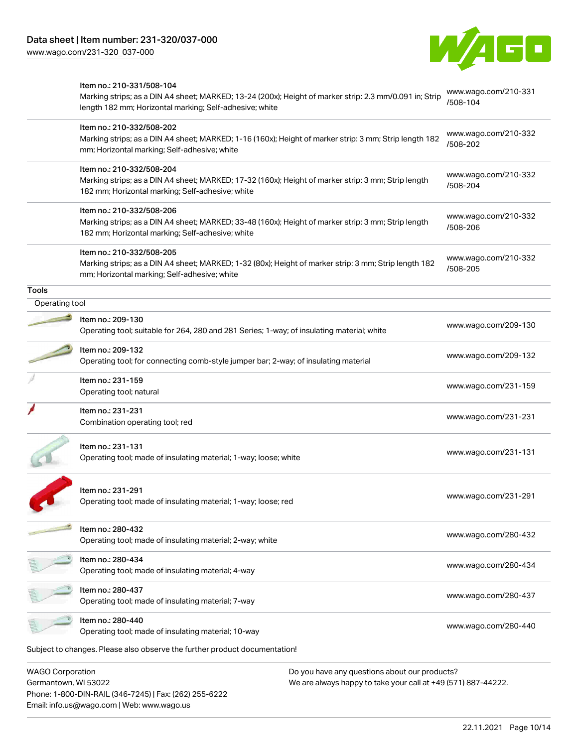Phone: 1-800-DIN-RAIL (346-7245) | Fax: (262) 255-6222

Email: info.us@wago.com | Web: www.wago.us



|                                                 | Item no.: 210-331/508-104<br>Marking strips; as a DIN A4 sheet; MARKED; 13-24 (200x); Height of marker strip: 2.3 mm/0.091 in; Strip                                                 |                                                                                                                | www.wago.com/210-331<br>/508-104 |
|-------------------------------------------------|--------------------------------------------------------------------------------------------------------------------------------------------------------------------------------------|----------------------------------------------------------------------------------------------------------------|----------------------------------|
|                                                 | length 182 mm; Horizontal marking; Self-adhesive; white                                                                                                                              |                                                                                                                |                                  |
|                                                 | Item no.: 210-332/508-202<br>Marking strips; as a DIN A4 sheet; MARKED; 1-16 (160x); Height of marker strip: 3 mm; Strip length 182<br>mm; Horizontal marking; Self-adhesive; white  |                                                                                                                | www.wago.com/210-332<br>/508-202 |
|                                                 | Item no.: 210-332/508-204<br>Marking strips; as a DIN A4 sheet; MARKED; 17-32 (160x); Height of marker strip: 3 mm; Strip length<br>182 mm; Horizontal marking; Self-adhesive; white |                                                                                                                | www.wago.com/210-332<br>/508-204 |
|                                                 | Item no.: 210-332/508-206<br>Marking strips; as a DIN A4 sheet; MARKED; 33-48 (160x); Height of marker strip: 3 mm; Strip length<br>182 mm; Horizontal marking; Self-adhesive; white |                                                                                                                | www.wago.com/210-332<br>/508-206 |
|                                                 | Item no.: 210-332/508-205<br>Marking strips; as a DIN A4 sheet; MARKED; 1-32 (80x); Height of marker strip: 3 mm; Strip length 182<br>mm; Horizontal marking; Self-adhesive; white   |                                                                                                                | www.wago.com/210-332<br>/508-205 |
| <b>Tools</b>                                    |                                                                                                                                                                                      |                                                                                                                |                                  |
| Operating tool                                  |                                                                                                                                                                                      |                                                                                                                |                                  |
|                                                 | Item no.: 209-130<br>Operating tool; suitable for 264, 280 and 281 Series; 1-way; of insulating material; white                                                                      |                                                                                                                | www.wago.com/209-130             |
|                                                 | Item no.: 209-132<br>Operating tool; for connecting comb-style jumper bar; 2-way; of insulating material                                                                             |                                                                                                                | www.wago.com/209-132             |
|                                                 | Item no.: 231-159<br>Operating tool; natural                                                                                                                                         |                                                                                                                | www.wago.com/231-159             |
|                                                 | Item no.: 231-231<br>Combination operating tool; red                                                                                                                                 |                                                                                                                | www.wago.com/231-231             |
|                                                 | Item no.: 231-131<br>Operating tool; made of insulating material; 1-way; loose; white                                                                                                |                                                                                                                | www.wago.com/231-131             |
|                                                 | Item no.: 231-291<br>Operating tool; made of insulating material; 1-way; loose; red                                                                                                  |                                                                                                                | www.wago.com/231-291             |
|                                                 | Item no.: 280-432<br>Operating tool; made of insulating material; 2-way; white                                                                                                       |                                                                                                                | www.wago.com/280-432             |
|                                                 | Item no.: 280-434<br>Operating tool; made of insulating material; 4-way                                                                                                              |                                                                                                                | www.wago.com/280-434             |
|                                                 | Item no.: 280-437<br>Operating tool; made of insulating material; 7-way                                                                                                              |                                                                                                                | www.wago.com/280-437             |
|                                                 | Item no.: 280-440<br>Operating tool; made of insulating material; 10-way                                                                                                             |                                                                                                                | www.wago.com/280-440             |
|                                                 | Subject to changes. Please also observe the further product documentation!                                                                                                           |                                                                                                                |                                  |
| <b>WAGO Corporation</b><br>Germantown, WI 53022 |                                                                                                                                                                                      | Do you have any questions about our products?<br>We are always happy to take your call at +49 (571) 887-44222. |                                  |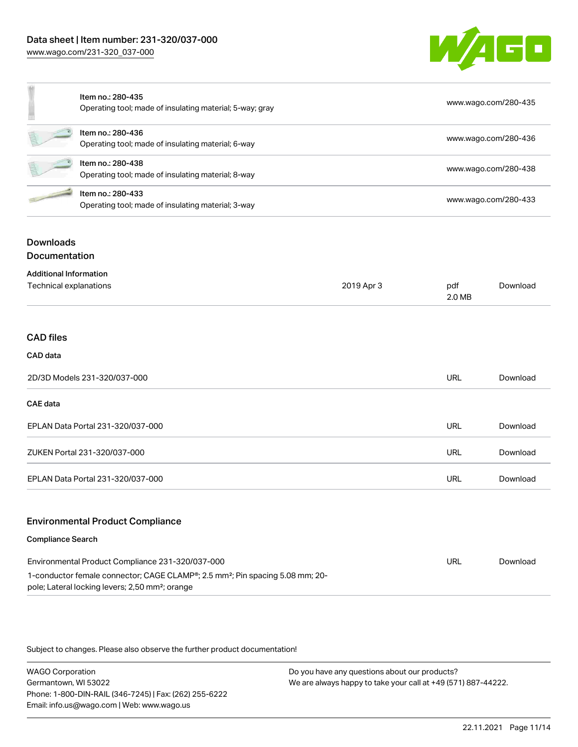

|   | Item no.: 280-435<br>Operating tool; made of insulating material; 5-way; gray | www.wago.com/280-435 |
|---|-------------------------------------------------------------------------------|----------------------|
| É | Item no.: 280-436<br>Operating tool; made of insulating material; 6-way       | www.wago.com/280-436 |
| É | Item no.: 280-438<br>Operating tool; made of insulating material; 8-way       | www.wago.com/280-438 |
|   | Item no.: 280-433<br>Operating tool; made of insulating material; 3-way       | www.wago.com/280-433 |
|   |                                                                               |                      |

### **Downloads Documentation**

| <b>Additional Information</b>           |            |               |          |
|-----------------------------------------|------------|---------------|----------|
| Technical explanations                  | 2019 Apr 3 | pdf<br>2.0 MB | Download |
|                                         |            |               |          |
| <b>CAD files</b>                        |            |               |          |
| CAD data                                |            |               |          |
| 2D/3D Models 231-320/037-000            |            | <b>URL</b>    | Download |
| CAE data                                |            |               |          |
| EPLAN Data Portal 231-320/037-000       |            | <b>URL</b>    | Download |
| ZUKEN Portal 231-320/037-000            |            | <b>URL</b>    | Download |
| EPLAN Data Portal 231-320/037-000       |            | <b>URL</b>    | Download |
|                                         |            |               |          |
| <b>Environmental Product Compliance</b> |            |               |          |

#### Compliance Search

| Environmental Product Compliance 231-320/037-000                                                                                                                      | URL | Download |
|-----------------------------------------------------------------------------------------------------------------------------------------------------------------------|-----|----------|
| 1-conductor female connector; CAGE CLAMP <sup>®</sup> ; 2.5 mm <sup>2</sup> ; Pin spacing 5.08 mm; 20-<br>pole; Lateral locking levers; 2,50 mm <sup>2</sup> ; orange |     |          |

Subject to changes. Please also observe the further product documentation!

WAGO Corporation Germantown, WI 53022 Phone: 1-800-DIN-RAIL (346-7245) | Fax: (262) 255-6222 Email: info.us@wago.com | Web: www.wago.us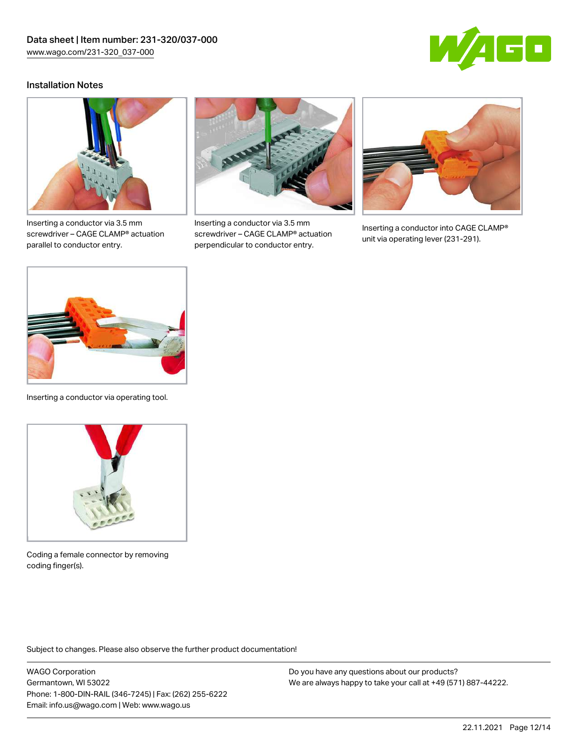

#### Installation Notes



Inserting a conductor via 3.5 mm screwdriver – CAGE CLAMP® actuation parallel to conductor entry.



Inserting a conductor via 3.5 mm screwdriver – CAGE CLAMP® actuation perpendicular to conductor entry.



Inserting a conductor into CAGE CLAMP® unit via operating lever (231-291).



Inserting a conductor via operating tool.



Coding a female connector by removing coding finger(s).

Subject to changes. Please also observe the further product documentation!

WAGO Corporation Germantown, WI 53022 Phone: 1-800-DIN-RAIL (346-7245) | Fax: (262) 255-6222 Email: info.us@wago.com | Web: www.wago.us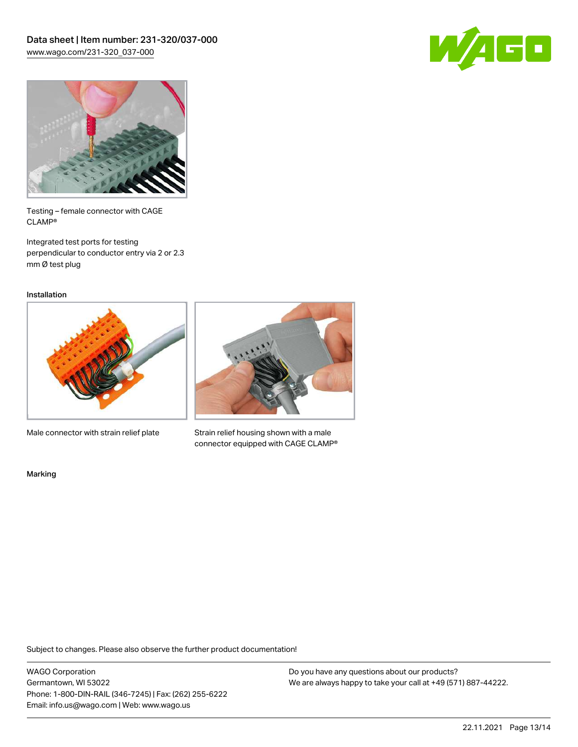



Testing – female connector with CAGE CLAMP®

Integrated test ports for testing perpendicular to conductor entry via 2 or 2.3 mm Ø test plug

Installation



Male connector with strain relief plate



Strain relief housing shown with a male connector equipped with CAGE CLAMP®

Marking

Subject to changes. Please also observe the further product documentation!

WAGO Corporation Germantown, WI 53022 Phone: 1-800-DIN-RAIL (346-7245) | Fax: (262) 255-6222 Email: info.us@wago.com | Web: www.wago.us